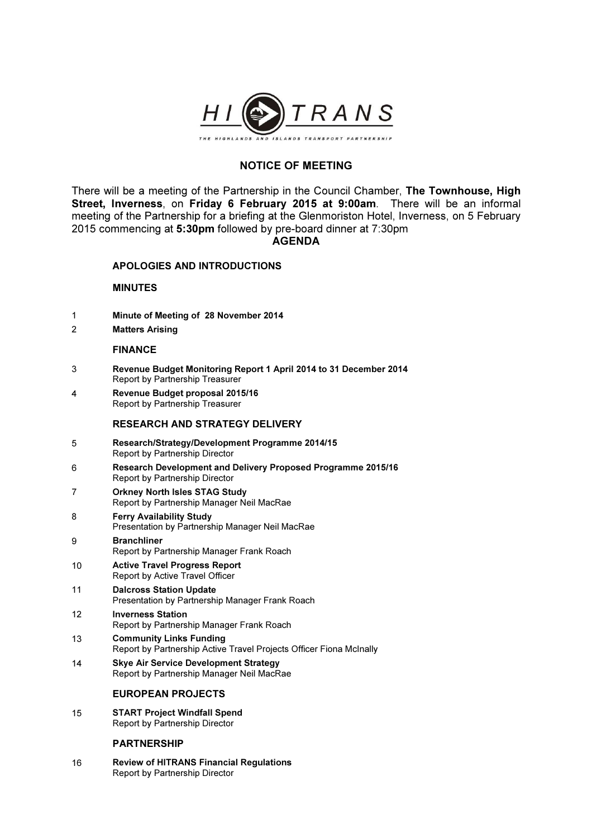

# NOTICE OF MEETING

There will be a meeting of the Partnership in the Council Chamber, The Townhouse, High Street, Inverness, on Friday 6 February 2015 at 9:00am. There will be an informal meeting of the Partnership for a briefing at the Glenmoriston Hotel, Inverness, on 5 February 2015 commencing at 5:30pm followed by pre-board dinner at 7:30pm

## AGENDA

## APOLOGIES AND INTRODUCTIONS

## MINUTES

- 1 Minute of Meeting of 28 November 2014
- 2 Matters Arising

#### FINANCE

- 3 Revenue Budget Monitoring Report 1 April 2014 to 31 December 2014 Report by Partnership Treasurer
- 4 Revenue Budget proposal 2015/16 Report by Partnership Treasurer

#### RESEARCH AND STRATEGY DELIVERY

- 5 Research/Strategy/Development Programme 2014/15 Report by Partnership Director
- 6 Research Development and Delivery Proposed Programme 2015/16 Report by Partnership Director
- 7 Orkney North Isles STAG Study Report by Partnership Manager Neil MacRae
- 8 Ferry Availability Study Presentation by Partnership Manager Neil MacRae
- 9 Branchliner Report by Partnership Manager Frank Roach
- 10 Active Travel Progress Report Report by Active Travel Officer
- 11 Dalcross Station Update Presentation by Partnership Manager Frank Roach
- 12 Inverness Station Report by Partnership Manager Frank Roach
- 13 Community Links Funding Report by Partnership Active Travel Projects Officer Fiona McInally
- 14 Skye Air Service Development Strategy Report by Partnership Manager Neil MacRae

## EUROPEAN PROJECTS

15 START Project Windfall Spend Report by Partnership Director

#### **PARTNERSHIP**

16 Review of HITRANS Financial Regulations Report by Partnership Director